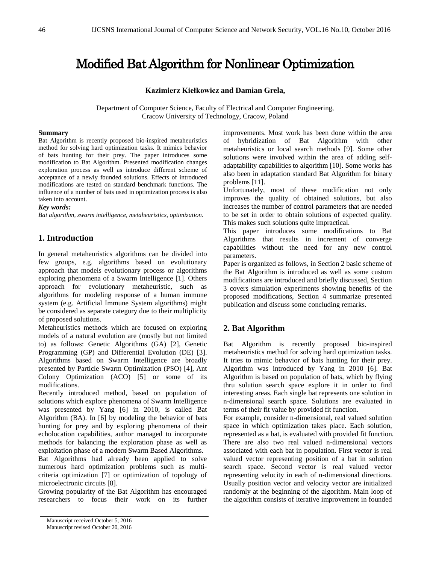# Modified Bat Algorithm for Nonlinear Optimization

# **Kazimierz Kiełkowicz and Damian Grela,**

Department of Computer Science, Faculty of Electrical and Computer Engineering, Cracow University of Technology, Cracow, Poland

## **Summary**

Bat Algorithm is recently proposed bio-inspired metaheuristics method for solving hard optimization tasks. It mimics behavior of bats hunting for their prey. The paper introduces some modification to Bat Algorithm. Presented modification changes exploration process as well as introduce different scheme of acceptance of a newly founded solutions. Effects of introduced modifications are tested on standard benchmark functions. The influence of a number of bats used in optimization process is also taken into account.

## *Key words:*

*Bat algorithm, swarm intelligence, metaheuristics, optimization.*

# **1. Introduction**

In general metaheuristics algorithms can be divided into few groups, e.g. algorithms based on evolutionary approach that models evolutionary process or algorithms exploring phenomena of a Swarm Intelligence [1]. Others approach for evolutionary metaheuristic, such as algorithms for modeling response of a human immune system (e.g. Artificial Immune System algorithms) might be considered as separate category due to their multiplicity of proposed solutions.

Metaheuristics methods which are focused on exploring models of a natural evolution are (mostly but not limited to) as follows: Genetic Algorithms (GA) [2], Genetic Programming (GP) and Differential Evolution (DE) [3]. Algorithms based on Swarm Intelligence are broadly presented by Particle Swarm Optimization (PSO) [4], Ant Colony Optimization (ACO) [5] or some of its modifications.

Recently introduced method, based on population of solutions which explore phenomena of Swarm Intelligence was presented by Yang [6] in 2010, is called Bat Algorithm (BA). In [6] by modeling the behavior of bats hunting for prey and by exploring phenomena of their echolocation capabilities, author managed to incorporate methods for balancing the exploration phase as well as exploitation phase of a modern Swarm Based Algorithms.

Bat Algorithms had already been applied to solve numerous hard optimization problems such as multicriteria optimization [7] or optimization of topology of microelectronic circuits [8].

Growing popularity of the Bat Algorithm has encouraged researchers to focus their work on its further improvements. Most work has been done within the area of hybridization of Bat Algorithm with other metaheuristics or local search methods [9]. Some other solutions were involved within the area of adding selfadaptability capabilities to algorithm [10]. Some works has also been in adaptation standard Bat Algorithm for binary problems [11].

Unfortunately, most of these modification not only improves the quality of obtained solutions, but also increases the number of control parameters that are needed to be set in order to obtain solutions of expected quality. This makes such solutions quite impractical.

This paper introduces some modifications to Bat Algorithms that results in increment of converge capabilities without the need for any new control parameters.

Paper is organized as follows, in Section 2 basic scheme of the Bat Algorithm is introduced as well as some custom modifications are introduced and briefly discussed, Section 3 covers simulation experiments showing benefits of the proposed modifications, Section 4 summarize presented publication and discuss some concluding remarks.

# **2. Bat Algorithm**

Bat Algorithm is recently proposed bio-inspired metaheuristics method for solving hard optimization tasks. It tries to mimic behavior of bats hunting for their prey. Algorithm was introduced by Yang in 2010 [6]. Bat Algorithm is based on population of bats, which by flying thru solution search space explore it in order to find interesting areas. Each single bat represents one solution in n-dimensional search space. Solutions are evaluated in terms of their fit value by provided fit function.

For example, consider n-dimensional, real valued solution space in which optimization takes place. Each solution, represented as a bat, is evaluated with provided fit function. There are also two real valued n-dimensional vectors associated with each bat in population. First vector is real valued vector representing position of a bat in solution search space. Second vector is real valued vector representing velocity in each of n-dimensional directions. Usually position vector and velocity vector are initialized randomly at the beginning of the algorithm. Main loop of the algorithm consists of iterative improvement in founded

Manuscript received October 5, 2016 Manuscript revised October 20, 2016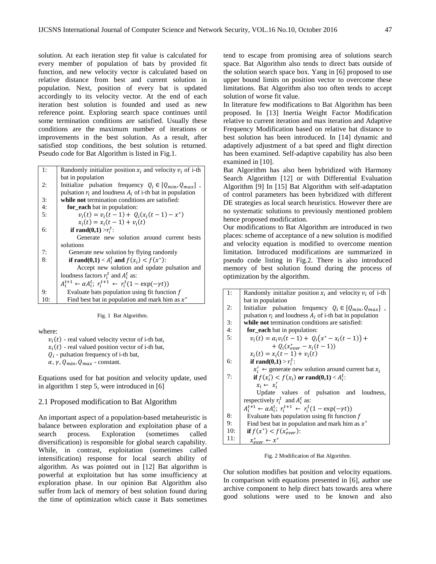solution. At each iteration step fit value is calculated for every member of population of bats by provided fit function, and new velocity vector is calculated based on relative distance from best and current solution in population. Next, position of every bat is updated accordingly to its velocity vector. At the end of each iteration best solution is founded and used as new reference point. Exploring search space continues until some termination conditions are satisfied. Usually these conditions are the maximum number of iterations or improvements in the best solution. As a result, after satisfied stop conditions, the best solution is returned. Pseudo code for Bat Algorithm is listed in Fig.1.

| 1:  | Randomly initialize position $x_i$ and velocity $v_i$ of i-th                            |  |  |  |  |
|-----|------------------------------------------------------------------------------------------|--|--|--|--|
|     | bat in population                                                                        |  |  |  |  |
| 2:  | Initialize pulsation frequency $Q_i \in [Q_{min}, Q_{max}]$ ,                            |  |  |  |  |
|     | pulsation $r_i$ and loudness $A_i$ of i-th bat in population                             |  |  |  |  |
| 3:  | while not termination conditions are satisfied:                                          |  |  |  |  |
| 4:  | for_each bat in population:                                                              |  |  |  |  |
| 5:  | $v_i(t) = v_i(t-1) + O_i(x_i(t-1) - x^*)$                                                |  |  |  |  |
|     | $x_i(t) = x_i(t-1) + v_i(t)$                                                             |  |  |  |  |
| 6:  | if rand $(0,1) > r_i^t$ :                                                                |  |  |  |  |
|     | Generate new solution around current bests                                               |  |  |  |  |
|     | solutions                                                                                |  |  |  |  |
| 7:  | Generate new solution by flying randomly                                                 |  |  |  |  |
| 8:  | if rand(0,1) < $A_i^t$ and $f(x_i) < f(x^*)$ :                                           |  |  |  |  |
|     | Accept new solution and update pulsation and                                             |  |  |  |  |
|     | loudness factors $r_i^t$ and $A_i^t$ as:                                                 |  |  |  |  |
|     | $A_i^{t+1} \leftarrow \alpha A_i^t$ ; $r_i^{t+1} \leftarrow r_i^t (1 - \exp(-\gamma t))$ |  |  |  |  |
| 9:  | Evaluate bats population using fit function $f$                                          |  |  |  |  |
| 10: | Find best bat in population and mark him as $x^*$                                        |  |  |  |  |

Fig. 1 Bat Algorithm.

where:

 $v_i(t)$  - real valued velocity vector of i-th bat,  $x_i(t)$  - real valued position vector of i-th bat,  $Q_i$  - pulsation frequency of i-th bat,  $\alpha$ ,  $\gamma$ ,  $Q_{min}$ ,  $Q_{max}$  - constant.

Equations used for bat position and velocity update, used in algorithm 1 step 5, were introduced in [6]

#### 2.1 Proposed modification to Bat Algorithm

An important aspect of a population-based metaheuristic is balance between exploration and exploitation phase of a search process. Exploration (sometimes called diversification) is responsible for global search capability. While, in contrast, exploitation (sometimes called intensification) response for local search ability of algorithm. As was pointed out in [12] Bat algorithm is powerful at exploitation but has some insufficiency at exploration phase. In our opinion Bat Algorithm also suffer from lack of memory of best solution found during the time of optimization which cause it Bats sometimes

tend to escape from promising area of solutions search space. Bat Algorithm also tends to direct bats outside of the solution search space box. Yang in [6] proposed to use upper bound limits on position vector to overcome these limitations. Bat Algorithm also too often tends to accept solution of worse fit value.

In literature few modifications to Bat Algorithm has been proposed. In [13] Inertia Weight Factor Modification relative to current iteration and max iteration and Adaptive Frequency Modification based on relative bat distance to best solution has been introduced. In [14] dynamic and adaptively adjustment of a bat speed and flight direction has been examined. Self-adaptive capability has also been examined in [10].

Bat Algorithm has also been hybridized with Harmony Search Algorithm [12] or with Differential Evaluation Algorithm [9] In [15] Bat Algorithm with self-adaptation of control parameters has been hybridized with different DE strategies as local search heuristics. However there are no systematic solutions to previously mentioned problem hence proposed modification.

Our modifications to Bat Algorithm are introduced in two places: scheme of acceptance of a new solution is modified and velocity equation is modified to overcome mention limitation. Introduced modifications are summarized in pseudo code listing in Fig.2. There is also introduced memory of best solution found during the process of optimization by the algorithm.

| 1:  | Randomly initialize position $x_i$ and velocity $v_i$ of i-th                            |  |  |  |  |  |
|-----|------------------------------------------------------------------------------------------|--|--|--|--|--|
|     | bat in population                                                                        |  |  |  |  |  |
| 2:  | Initialize pulsation frequency $Q_i \in [Q_{min}, Q_{max}]$ ,                            |  |  |  |  |  |
|     | pulsation $r_i$ and loudness $A_i$ of i-th bat in population                             |  |  |  |  |  |
| 3:  | while not termination conditions are satisfied:                                          |  |  |  |  |  |
| 4:  | for each bat in population:                                                              |  |  |  |  |  |
| 5:  | $v_i(t) = \alpha_i v_i(t-1) + Q_i(x^* - x_i(t-1)) +$                                     |  |  |  |  |  |
|     | $+ O_i(x_{\text{ener}}^* - x_i(t-1))$                                                    |  |  |  |  |  |
|     | $x_i(t) = x_i(t-1) + v_i(t)$                                                             |  |  |  |  |  |
| 6:  | if rand $(0,1) > r_i^t$ :                                                                |  |  |  |  |  |
|     | $x'_i$ $\leftarrow$ generate new solution around current bat $x_i$                       |  |  |  |  |  |
| 7:  | if $f(x_i') < f(x_i)$ or rand(0,1) < $A_i^t$ :                                           |  |  |  |  |  |
|     | $x_i \leftarrow x'_i$                                                                    |  |  |  |  |  |
|     | Update values of pulsation and loudness,                                                 |  |  |  |  |  |
|     | respectively $r_i^t$ and $A_i^t$ as:                                                     |  |  |  |  |  |
|     | $A_i^{t+1} \leftarrow \alpha A_i^t$ ; $r_i^{t+1} \leftarrow r_i^t (1 - \exp(-\gamma t))$ |  |  |  |  |  |
| 8:  | Evaluate bats population using fit function $f$                                          |  |  |  |  |  |
| 9:  | Find best bat in population and mark him as $x^*$                                        |  |  |  |  |  |
| 10: | if $f(x^*) < f(x_{\text{ener}}^*)$ :                                                     |  |  |  |  |  |
| 11: | $x^*_{ever} \leftarrow x^*$                                                              |  |  |  |  |  |

Fig. 2 Modification of Bat Algorithm.

Our solution modifies bat position and velocity equations. In comparison with equations presented in [6], author use archive component to help direct bats towards area where good solutions were used to be known and also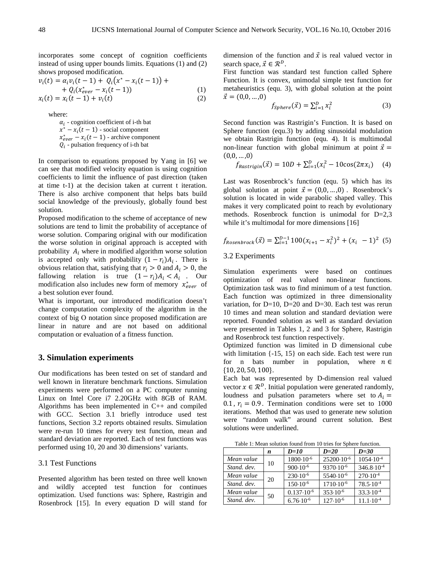incorporates some concept of cognition coefficients instead of using upper bounds limits. Equations (1) and (2) shows proposed modification.

$$
v_i(t) = \alpha_i v_i(t-1) + Q_i(x^* - x_i(t-1)) ++ Q_i(x_{\text{ever}}^* - x_i(t-1)) +x_i(t) = x_i(t-1) + v_i(t)
$$
\n(1)

where:

 $\alpha_i$  - cognition coefficient of i-th bat  $x^* - x_i(t - 1)$  - social component  $x_{ever}^* - x_i(t-1)$  - archive component  $Q_i$  - pulsation frequency of i-th bat

In comparison to equations proposed by Yang in [6] we can see that modified velocity equation is using cognition coefficients to limit the influence of past direction (taken at time t-1) at the decision taken at current t iteration. There is also archive component that helps bats build social knowledge of the previously, globally found best solution.

Proposed modification to the scheme of acceptance of new solutions are tend to limit the probability of acceptance of worse solution. Comparing original with our modification the worse solution in original approach is accepted with probability  $A_i$ , where in modified algorithm worse solution is accepted only with probability  $(1 - r_i)A_i$ . There is obvious relation that, satisfying that  $r_i > 0$  and  $A_i > 0$ , the fallowing relation is true  $(1 - r_i)A_i < A_i$ . Our modification also includes new form of memory  $x_{\text{ever}}^*$  of a best solution ever found.

What is important, our introduced modification doesn't change computation complexity of the algorithm in the context of big Ο notation since proposed modification are linear in nature and are not based on additional computation or evaluation of a fitness function.

# **3. Simulation experiments**

Our modifications has been tested on set of standard and well known in literature benchmark functions. Simulation experiments were performed on a PC computer running Linux on Intel Core i7 2.20GHz with 8GB of RAM. Algorithms has been implemented in C++ and compiled with GCC. Section 3.1 briefly introduce used test functions, Section 3.2 reports obtained results. Simulation were re-run 10 times for every test function, mean and standard deviation are reported. Each of test functions was performed using 10, 20 and 30 dimensions' variants.

### 3.1 Test Functions

Presented algorithm has been tested on three well known and wildly accepted test function for continues optimization. Used functions was: Sphere, Rastrigin and Rosenbrock [15]. In every equation D will stand for dimension of the function and  $\vec{x}$  is real valued vector in search space,  $\vec{x} \in \mathcal{R}^D$ .

First function was standard test function called Sphere Function. It is convex, unimodal simple test function for metaheuristics (equ. 3), with global solution at the point  $\vec{x} = (0,0,...,0)$ 

$$
f_{Sphere}(\vec{x}) = \sum_{i=1}^{D} x_i^2
$$
 (3)

Second function was Rastrigin's Function. It is based on Sphere function (equ.3) by adding sinusoidal modulation we obtain Rastrigin function (equ. 4). It is multimodal non-linear function with global minimum at point  $\vec{x} =$  $(0,0,...,0)$ 

$$
f_{Rastrigin}(\vec{x}) = 10D + \sum_{i=1}^{D} (x_i^2 - 10\cos(2\pi x_i) \quad (4)
$$

Last was Rosenbrock's function (equ. 5) which has its global solution at point  $\vec{x} = (0,0,...,0)$ . Rosenbrock's solution is located in wide parabolic shaped valley. This makes it very complicated point to reach by evolutionary methods. Rosenbrock function is unimodal for D=2,3 while it's multimodal for more dimensions [16]

$$
f_{Rosenbrock}(\vec{x}) = \sum_{i=1}^{D-1} 100(x_{i+1} - x_i^2)^2 + (x_i - 1)^2
$$
 (5)

#### 3.2 Experiments

Simulation experiments were based on continues optimization of real valued non-linear functions. Optimization task was to find minimum of a test function. Each function was optimized in three dimensionality variation, for  $D=10$ ,  $D=20$  and  $D=30$ . Each test was rerun 10 times and mean solution and standard deviation were reported. Founded solution as well as standard deviation were presented in Tables 1, 2 and 3 for Sphere, Rastrigin and Rosenbrock test function respectively.

Optimized function was limited in D dimensional cube with limitation  $\{-15, 15\}$  on each side. Each test were run for n bats number in population, where  $n \in \mathbb{R}$ {10, 20, 50, 100}.

Each bat was represented by D-dimension real valued vector  $x \in \mathbb{R}^D$ . Initial population were generated randomly, loudness and pulsation parameters where set to  $A_i =$ 0.1,  $r_i = 0.9$ . Termination conditions were set to 1000 iterations. Method that was used to generate new solution were "random walk" around current solution. Best solutions were underlined.

Table 1: Mean solution found from 10 tries for Sphere function.

|             | n  | $D=10$                | $D=20$                | $D=30$                |
|-------------|----|-----------------------|-----------------------|-----------------------|
| Mean value  | 10 | $1800 \cdot 10^{-6}$  | 25200.10-6            | $1054 \cdot 10^{-4}$  |
| Stand, dev. |    | $900 \cdot 10^{-6}$   | $9370 \cdot 10^{-6}$  | $346.8 \cdot 10^{-4}$ |
| Mean value  | 20 | $230 \cdot 10^{-6}$   | 5540.10 <sup>-6</sup> | $270 \cdot 10^{-4}$   |
| Stand, dev. |    | $150 \cdot 10^{-6}$   | $1710 \cdot 10^{-6}$  | $78.5 \cdot 10^{-4}$  |
| Mean value  | 50 | $0.137 \cdot 10^{-6}$ | $353 \cdot 10^{-6}$   | $33.3 \cdot 10^{-4}$  |
| Stand, dev. |    | $6.76 \cdot 10^{-6}$  | $127 \cdot 10^{-6}$   | $11.1 \cdot 10^{-4}$  |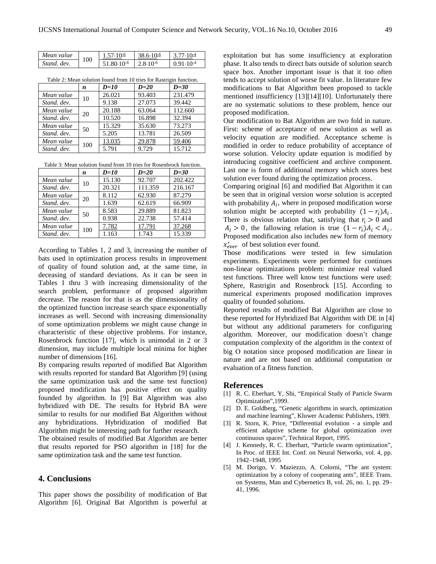| Mean value  | 100 | $1,57.10 - 6$          | 38.6.10 $-6$        | 77.10 <del>1</del> |
|-------------|-----|------------------------|---------------------|--------------------|
| Stand, dev. |     | 51 80.10 <sup>-6</sup> | $2.8 \cdot 10^{-6}$ | $0.91.10^{-4}$     |

|             | n   | $D=10$ | $D=20$ | $D=30$  |
|-------------|-----|--------|--------|---------|
| Mean value  | 10  | 26.021 | 93.403 | 231.479 |
| Stand, dev. |     | 9.138  | 27.073 | 39.442  |
| Mean value  | 20  | 20.188 | 63.064 | 112.660 |
| Stand, dev. |     | 10.520 | 16.898 | 32.394  |
| Mean value  | 50  | 15.329 | 35.630 | 73.273  |
| Stand, dev. |     | 5.205  | 13.781 | 26.509  |
| Mean value  | 100 | 13.035 | 29.878 | 59.406  |
| Stand, dev. |     | 5.791  | 9.729  | 15.712  |

Table 2: Mean solution found from 10 tries for Rastrigin function.

| Table 3: Mean solution found from 10 tries for Rosenbrock function. |  |
|---------------------------------------------------------------------|--|
|---------------------------------------------------------------------|--|

|             | n   | $D=10$ | $D=20$  | $D=30$  |
|-------------|-----|--------|---------|---------|
| Mean value  | 10  | 15.130 | 92.707  | 202.422 |
| Stand, dev. |     | 20.321 | 111.359 | 216.167 |
| Mean value  | 20  | 8.112  | 62.930  | 87.279  |
| Stand, dev. |     | 1.639  | 62.619  | 66.909  |
| Mean value  | 50  | 8.583  | 29.889  | 81.823  |
| Stand, dev. |     | 0.938  | 22.738  | 57.414  |
| Mean value  | 100 | 7.782  | 17.791  | 37.268  |
| Stand, dev. |     | 1.163  | 1.743   | 15.339  |

According to Tables 1, 2 and 3, increasing the number of bats used in optimization process results in improvement of quality of found solution and, at the same time, in deceasing of standard deviations. As it can be seen in Tables 1 thru 3 with increasing dimensionality of the search problem, performance of proposed algorithm decrease. The reason for that is as the dimensionality of the optimized function increase search space exponentially increases as well. Second with increasing dimensionality of some optimization problems we might cause change in characteristic of these objective problems. For instance, Rosenbrock function [17], which is unimodal in 2 or 3 dimension, may include multiple local minima for higher number of dimensions [16].

By comparing results reported of modified Bat Algorithm with results reported for standard Bat Algorithm [9] (using the same optimization task and the same test function) proposed modification has positive effect on quality founded by algorithm. In [9] Bat Algorithm was also hybridized with DE. The results for Hybrid BA were similar to results for our modified Bat Algorithm without any hybridizations. Hybridization of modified Bat Algorithm might be interesting path for further research.

The obtained results of modified Bat Algorithm are better that results reported for PSO algorithm in [18] for the same optimization task and the same test function.

# **4. Conclusions**

This paper shows the possibility of modification of Bat Algorithm [6]. Original Bat Algorithm is powerful at

exploitation but has some insufficiency at exploration phase. It also tends to direct bats outside of solution search space box. Another important issue is that it too often tends to accept solution of worse fit value. In literature few modifications to Bat Algorithm been proposed to tackle mentioned insufficiency [13][14][10]. Unfortunately there are no systematic solutions to these problem, hence our proposed modification.

Our modification to Bat Algorithm are two fold in nature. First: scheme of acceptance of new solution as well as velocity equation are modified. Acceptance scheme is modified in order to reduce probability of acceptance of worse solution. Velocity update equation is modified by introducing cognitive coefficient and archive component. Last one is form of additional memory which stores best solution ever found during the optimization process.

Comparing original [6] and modified Bat Algorithm it can be seen that in original version worse solution is accepted with probability  $A_i$ , where in proposed modification worse solution might be accepted with probability  $(1 - r_i)A_i$ . There is obvious relation that, satisfying that  $r_i > 0$  and  $A_i > 0$ , the fallowing relation is true  $(1 - r_i)A_i < A_i$ . Proposed modification also includes new form of memory  $x_{ever}^*$  of best solution ever found.

Those modifications were tested in few simulation experiments. Experiments were performed for continues non-linear optimizations problem: minimize real valued test functions. Three well know test functions were used: Sphere, Rastrigin and Rosenbrock [15]. According to numerical experiments proposed modification improves quality of founded solutions.

Reported results of modified Bat Algorithm are close to these reported for Hybridized Bat Algorithm with DE in [4] but without any additional parameters for configuring algorithm. Moreover, our modification doesn't change computation complexity of the algorithm in the context of big Ο notation since proposed modification are linear in nature and are not based on additional computation or evaluation of a fitness function.

#### **References**

- [1] R. C. Eberhart, Y, Shi, "Empirical Study of Particle Swarm Optimization",1999.
- [2] D. E. Goldberg, "Genetic algorithms in search, optimization and machine learning", Kluwer Academic Publishers, 1989.
- [3] R. Storn, K. Price, "Differential evolution a simple and efficient adaptive scheme for global optimization over continuous spaces", Technical Report, 1995.
- [4] J. Kennedy, R. C. Eberhart, "Particle swarm optimization", In Proc. of IEEE Int. Conf. on Neural Networks, vol. 4, pp. 1942–1948, 1995
- [5] M. Dorigo, V. Maziezzo, A. Colorni, "The ant system: optimization by a colony of cooperating ants", IEEE Trans. on Systems, Man and Cybernetics B, vol. 26, no. 1, pp. 29– 41, 1996.